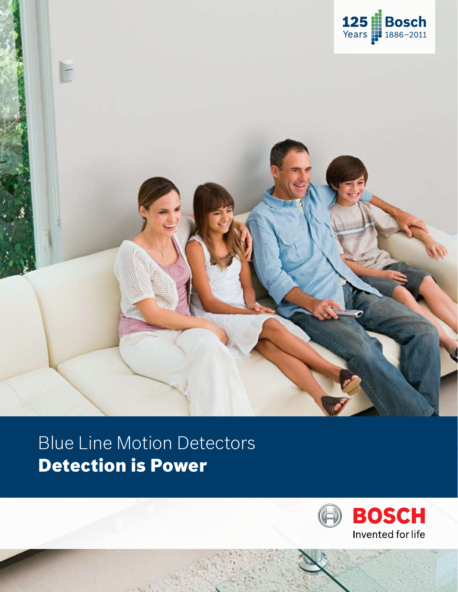



Blue Line Motion Detectors Detection is Power

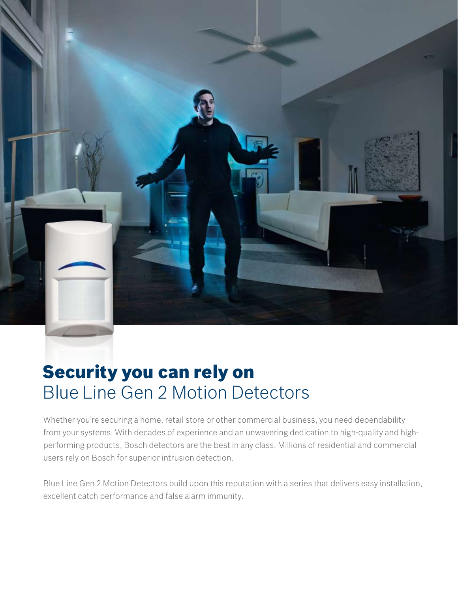

# Security you can rely on Blue Line Gen 2 Motion Detectors

Whether you're securing a home, retail store or other commercial business, you need dependability from your systems. With decades of experience and an unwavering dedication to high-quality and highperforming products, Bosch detectors are the best in any class. Millions of residential and commercial users rely on Bosch for superior intrusion detection.

Blue Line Gen 2 Motion Detectors build upon this reputation with a series that delivers easy installation, excellent catch performance and false alarm immunity.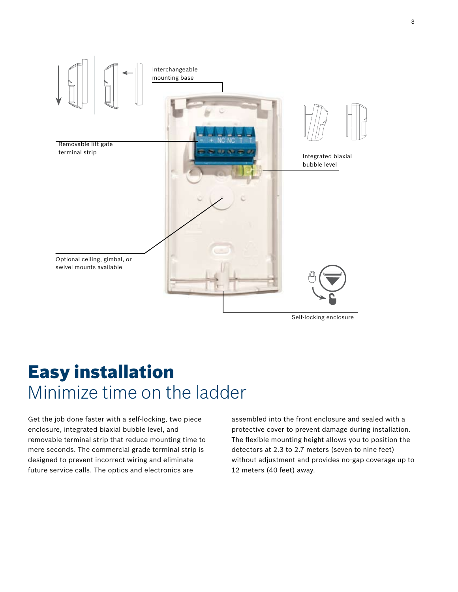

### Easy installation Minimize time on the ladder

Get the job done faster with a self-locking, two piece enclosure, integrated biaxial bubble level, and removable terminal strip that reduce mounting time to mere seconds. The commercial grade terminal strip is designed to prevent incorrect wiring and eliminate future service calls. The optics and electronics are

assembled into the front enclosure and sealed with a protective cover to prevent damage during installation. The flexible mounting height allows you to position the detectors at 2.3 to 2.7 meters (seven to nine feet) without adjustment and provides no-gap coverage up to 12 meters (40 feet) away.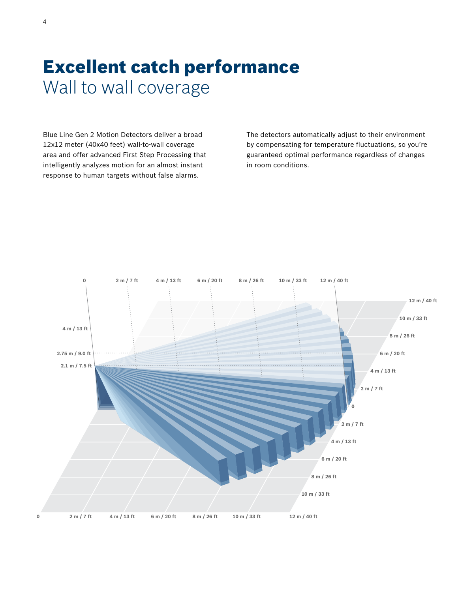# Excellent catch performance Wall to wall coverage

Blue Line Gen 2 Motion Detectors deliver a broad 12x12 meter (40x40 feet) wall-to-wall coverage area and offer advanced First Step Processing that intelligently analyzes motion for an almost instant response to human targets without false alarms.

The detectors automatically adjust to their environment by compensating for temperature fluctuations, so you're guaranteed optimal performance regardless of changes in room conditions.

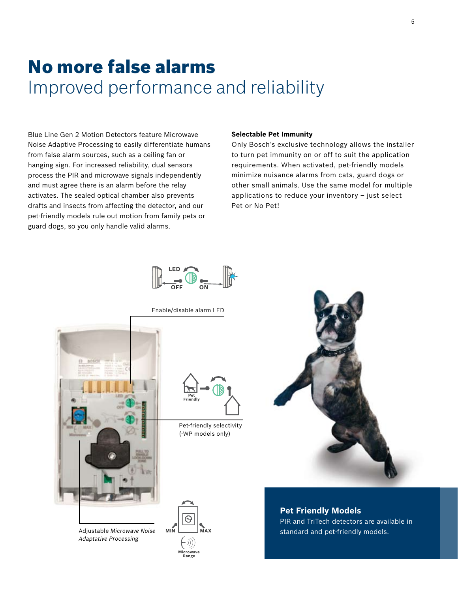# No more false alarms Improved performance and reliability

Blue Line Gen 2 Motion Detectors feature Microwave Noise Adaptive Processing to easily differentiate humans from false alarm sources, such as a ceiling fan or hanging sign. For increased reliability, dual sensors process the PIR and microwave signals independently and must agree there is an alarm before the relay activates. The sealed optical chamber also prevents drafts and insects from affecting the detector, and our pet-friendly models rule out motion from family pets or guard dogs, so you only handle valid alarms.

#### **Selectable Pet Immunity**

Only Bosch's exclusive technology allows the installer to turn pet immunity on or off to suit the application requirements. When activated, pet-friendly models minimize nuisance alarms from cats, guard dogs or other small animals. Use the same model for multiple applications to reduce your inventory – just select Pet or No Pet!



Enable/disable alarm LED



Adjustable *Microwave Noise Adaptative Processing*



Pet-friendly selectivity (-WP models only)





**Pet Friendly Models** PIR and TriTech detectors are available in standard and pet-friendly models.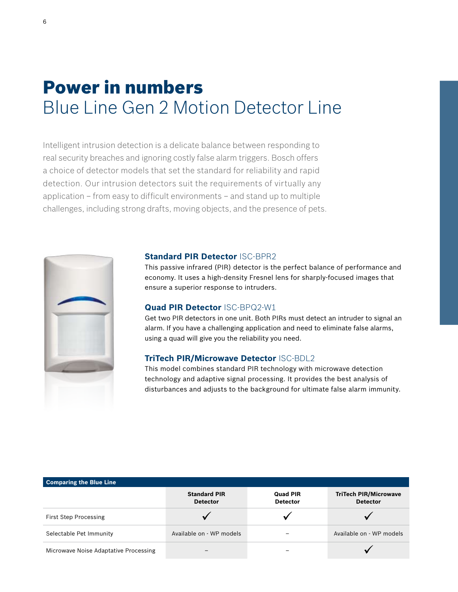### Power in numbers Blue Line Gen 2 Motion Detector Line

Intelligent intrusion detection is a delicate balance between responding to real security breaches and ignoring costly false alarm triggers. Bosch offers a choice of detector models that set the standard for reliability and rapid detection. Our intrusion detectors suit the requirements of virtually any application – from easy to difficult environments – and stand up to multiple challenges, including strong drafts, moving objects, and the presence of pets.



### **Standard PIR Detector** ISC-BPR2

This passive infrared (PIR) detector is the perfect balance of performance and economy. It uses a high-density Fresnel lens for sharply-focused images that ensure a superior response to intruders.

#### **Quad PIR Detector** ISC-BPQ2-W1

Get two PIR detectors in one unit. Both PIRs must detect an intruder to signal an alarm. If you have a challenging application and need to eliminate false alarms, using a quad will give you the reliability you need.

### **TriTech PIR/Microwave Detector** ISC-BDL2

This model combines standard PIR technology with microwave detection technology and adaptive signal processing. It provides the best analysis of disturbances and adjusts to the background for ultimate false alarm immunity.

| <b>Comparing the Blue Line</b>        |                                        |                                    |                                                 |
|---------------------------------------|----------------------------------------|------------------------------------|-------------------------------------------------|
|                                       | <b>Standard PIR</b><br><b>Detector</b> | <b>Quad PIR</b><br><b>Detector</b> | <b>TriTech PIR/Microwave</b><br><b>Detector</b> |
| <b>First Step Processing</b>          |                                        |                                    |                                                 |
| Selectable Pet Immunity               | Available on - WP models               |                                    | Available on - WP models                        |
| Microwave Noise Adaptative Processing |                                        |                                    |                                                 |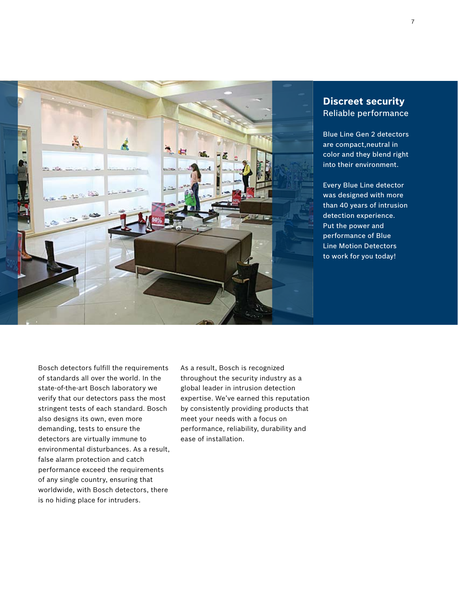

### **Discreet security** Reliable performance

Blue Line Gen 2 detectors are compact,neutral in color and they blend right into their environment.

Every Blue Line detector was designed with more than 40 years of intrusion detection experience. Put the power and performance of Blue Line Motion Detectors to work for you today!

Bosch detectors fulfill the requirements of standards all over the world. In the state-of-the-art Bosch laboratory we verify that our detectors pass the most stringent tests of each standard. Bosch also designs its own, even more demanding, tests to ensure the detectors are virtually immune to environmental disturbances. As a result, false alarm protection and catch performance exceed the requirements of any single country, ensuring that worldwide, with Bosch detectors, there is no hiding place for intruders.

As a result, Bosch is recognized throughout the security industry as a global leader in intrusion detection expertise. We've earned this reputation by consistently providing products that meet your needs with a focus on performance, reliability, durability and ease of installation.